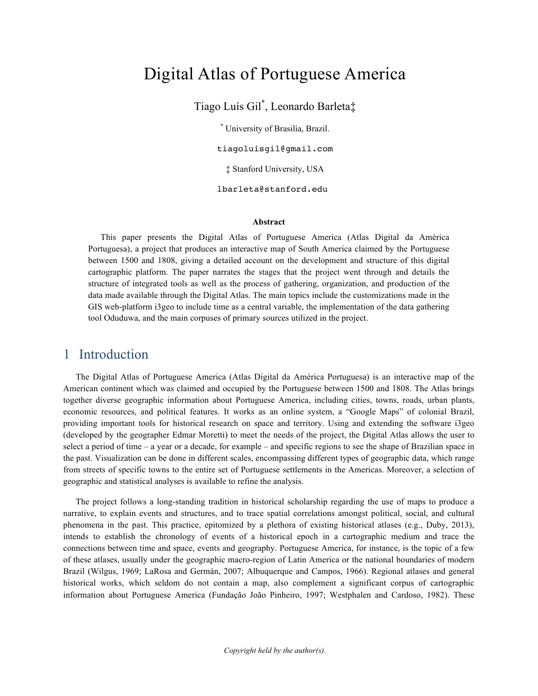# Digital Atlas of Portuguese America

Tiago Luís Gil\* , Leonardo Barleta‡

\* University of Brasilia, Brazil. tiagoluisgil@gmail.com ‡ Stanford University, USA lbarleta@stanford.edu

#### **Abstract**

This paper presents the Digital Atlas of Portuguese America (Atlas Digital da América Portuguesa), a project that produces an interactive map of South America claimed by the Portuguese between 1500 and 1808, giving a detailed account on the development and structure of this digital cartographic platform. The paper narrates the stages that the project went through and details the structure of integrated tools as well as the process of gathering, organization, and production of the data made available through the Digital Atlas. The main topics include the customizations made in the GIS web-platform i3geo to include time as a central variable, the implementation of the data gathering tool Oduduwa, and the main corpuses of primary sources utilized in the project.

#### 1 Introduction

The Digital Atlas of Portuguese America (Atlas Digital da América Portuguesa) is an interactive map of the American continent which was claimed and occupied by the Portuguese between 1500 and 1808. The Atlas brings together diverse geographic information about Portuguese America, including cities, towns, roads, urban plants, economic resources, and political features. It works as an online system, a "Google Maps" of colonial Brazil, providing important tools for historical research on space and territory. Using and extending the software i3geo (developed by the geographer Edmar Moretti) to meet the needs of the project, the Digital Atlas allows the user to select a period of time – a year or a decade, for example – and specific regions to see the shape of Brazilian space in the past. Visualization can be done in different scales, encompassing different types of geographic data, which range from streets of specific towns to the entire set of Portuguese settlements in the Americas. Moreover, a selection of geographic and statistical analyses is available to refine the analysis.

The project follows a long-standing tradition in historical scholarship regarding the use of maps to produce a narrative, to explain events and structures, and to trace spatial correlations amongst political, social, and cultural phenomena in the past. This practice, epitomized by a plethora of existing historical atlases (e.g., Duby, 2013), intends to establish the chronology of events of a historical epoch in a cartographic medium and trace the connections between time and space, events and geography. Portuguese America, for instance, is the topic of a few of these atlases, usually under the geographic macro-region of Latin America or the national boundaries of modern Brazil (Wilgus, 1969; LaRosa and Germán, 2007; Albuquerque and Campos, 1966). Regional atlases and general historical works, which seldom do not contain a map, also complement a significant corpus of cartographic information about Portuguese America (Fundação João Pinheiro, 1997; Westphalen and Cardoso, 1982). These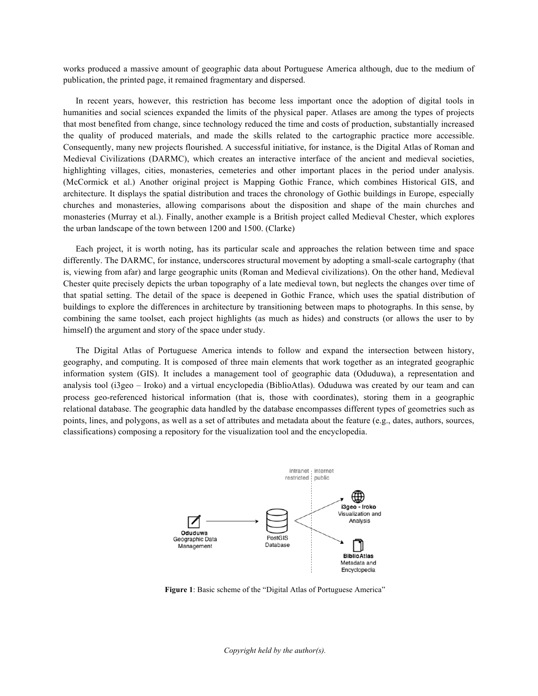works produced a massive amount of geographic data about Portuguese America although, due to the medium of publication, the printed page, it remained fragmentary and dispersed.

In recent years, however, this restriction has become less important once the adoption of digital tools in humanities and social sciences expanded the limits of the physical paper. Atlases are among the types of projects that most benefited from change, since technology reduced the time and costs of production, substantially increased the quality of produced materials, and made the skills related to the cartographic practice more accessible. Consequently, many new projects flourished. A successful initiative, for instance, is the Digital Atlas of Roman and Medieval Civilizations (DARMC), which creates an interactive interface of the ancient and medieval societies, highlighting villages, cities, monasteries, cemeteries and other important places in the period under analysis. (McCormick et al.) Another original project is Mapping Gothic France, which combines Historical GIS, and architecture. It displays the spatial distribution and traces the chronology of Gothic buildings in Europe, especially churches and monasteries, allowing comparisons about the disposition and shape of the main churches and monasteries (Murray et al.). Finally, another example is a British project called Medieval Chester, which explores the urban landscape of the town between 1200 and 1500. (Clarke)

Each project, it is worth noting, has its particular scale and approaches the relation between time and space differently. The DARMC, for instance, underscores structural movement by adopting a small-scale cartography (that is, viewing from afar) and large geographic units (Roman and Medieval civilizations). On the other hand, Medieval Chester quite precisely depicts the urban topography of a late medieval town, but neglects the changes over time of that spatial setting. The detail of the space is deepened in Gothic France, which uses the spatial distribution of buildings to explore the differences in architecture by transitioning between maps to photographs. In this sense, by combining the same toolset, each project highlights (as much as hides) and constructs (or allows the user to by himself) the argument and story of the space under study.

The Digital Atlas of Portuguese America intends to follow and expand the intersection between history, geography, and computing. It is composed of three main elements that work together as an integrated geographic information system (GIS). It includes a management tool of geographic data (Oduduwa), a representation and analysis tool (i3geo – Iroko) and a virtual encyclopedia (BiblioAtlas). Oduduwa was created by our team and can process geo-referenced historical information (that is, those with coordinates), storing them in a geographic relational database. The geographic data handled by the database encompasses different types of geometries such as points, lines, and polygons, as well as a set of attributes and metadata about the feature (e.g., dates, authors, sources, classifications) composing a repository for the visualization tool and the encyclopedia.



**Figure 1**: Basic scheme of the "Digital Atlas of Portuguese America"

*Copyright held by the author(s).*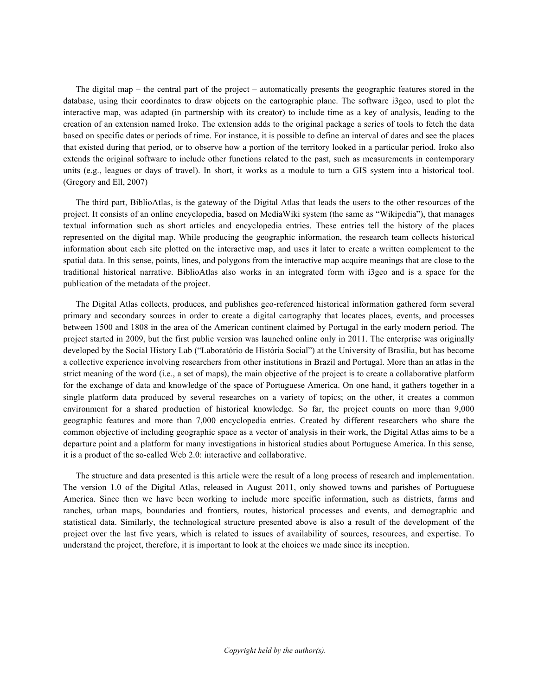The digital map – the central part of the project – automatically presents the geographic features stored in the database, using their coordinates to draw objects on the cartographic plane. The software i3geo, used to plot the interactive map, was adapted (in partnership with its creator) to include time as a key of analysis, leading to the creation of an extension named Iroko. The extension adds to the original package a series of tools to fetch the data based on specific dates or periods of time. For instance, it is possible to define an interval of dates and see the places that existed during that period, or to observe how a portion of the territory looked in a particular period. Iroko also extends the original software to include other functions related to the past, such as measurements in contemporary units (e.g., leagues or days of travel). In short, it works as a module to turn a GIS system into a historical tool. (Gregory and Ell, 2007)

The third part, BiblioAtlas, is the gateway of the Digital Atlas that leads the users to the other resources of the project. It consists of an online encyclopedia, based on MediaWiki system (the same as "Wikipedia"), that manages textual information such as short articles and encyclopedia entries. These entries tell the history of the places represented on the digital map. While producing the geographic information, the research team collects historical information about each site plotted on the interactive map, and uses it later to create a written complement to the spatial data. In this sense, points, lines, and polygons from the interactive map acquire meanings that are close to the traditional historical narrative. BiblioAtlas also works in an integrated form with i3geo and is a space for the publication of the metadata of the project.

The Digital Atlas collects, produces, and publishes geo-referenced historical information gathered form several primary and secondary sources in order to create a digital cartography that locates places, events, and processes between 1500 and 1808 in the area of the American continent claimed by Portugal in the early modern period. The project started in 2009, but the first public version was launched online only in 2011. The enterprise was originally developed by the Social History Lab ("Laboratório de História Social") at the University of Brasilia, but has become a collective experience involving researchers from other institutions in Brazil and Portugal. More than an atlas in the strict meaning of the word (i.e., a set of maps), the main objective of the project is to create a collaborative platform for the exchange of data and knowledge of the space of Portuguese America. On one hand, it gathers together in a single platform data produced by several researches on a variety of topics; on the other, it creates a common environment for a shared production of historical knowledge. So far, the project counts on more than 9,000 geographic features and more than 7,000 encyclopedia entries. Created by different researchers who share the common objective of including geographic space as a vector of analysis in their work, the Digital Atlas aims to be a departure point and a platform for many investigations in historical studies about Portuguese America. In this sense, it is a product of the so-called Web 2.0: interactive and collaborative.

The structure and data presented is this article were the result of a long process of research and implementation. The version 1.0 of the Digital Atlas, released in August 2011, only showed towns and parishes of Portuguese America. Since then we have been working to include more specific information, such as districts, farms and ranches, urban maps, boundaries and frontiers, routes, historical processes and events, and demographic and statistical data. Similarly, the technological structure presented above is also a result of the development of the project over the last five years, which is related to issues of availability of sources, resources, and expertise. To understand the project, therefore, it is important to look at the choices we made since its inception.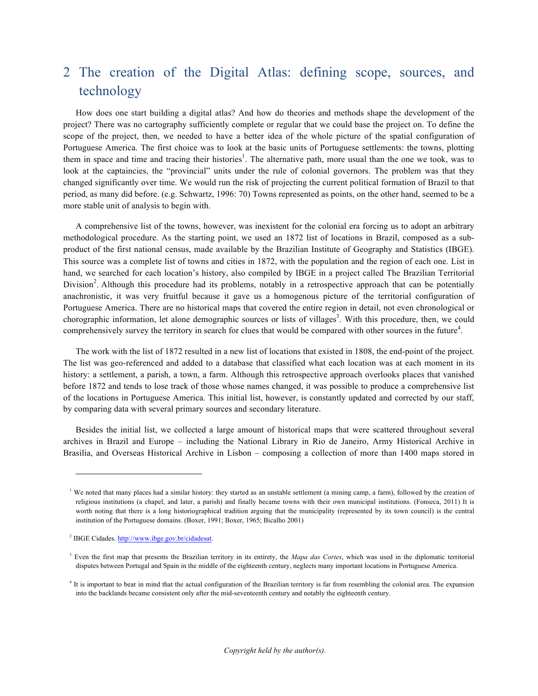## 2 The creation of the Digital Atlas: defining scope, sources, and technology

How does one start building a digital atlas? And how do theories and methods shape the development of the project? There was no cartography sufficiently complete or regular that we could base the project on. To define the scope of the project, then, we needed to have a better idea of the whole picture of the spatial configuration of Portuguese America. The first choice was to look at the basic units of Portuguese settlements: the towns, plotting them in space and time and tracing their histories<sup>1</sup>. The alternative path, more usual than the one we took, was to look at the captaincies, the "provincial" units under the rule of colonial governors. The problem was that they changed significantly over time. We would run the risk of projecting the current political formation of Brazil to that period, as many did before. (e.g. Schwartz, 1996: 70) Towns represented as points, on the other hand, seemed to be a more stable unit of analysis to begin with.

A comprehensive list of the towns, however, was inexistent for the colonial era forcing us to adopt an arbitrary methodological procedure. As the starting point, we used an 1872 list of locations in Brazil, composed as a subproduct of the first national census, made available by the Brazilian Institute of Geography and Statistics (IBGE). This source was a complete list of towns and cities in 1872, with the population and the region of each one. List in hand, we searched for each location's history, also compiled by IBGE in a project called The Brazilian Territorial Division<sup>2</sup>. Although this procedure had its problems, notably in a retrospective approach that can be potentially anachronistic, it was very fruitful because it gave us a homogenous picture of the territorial configuration of Portuguese America. There are no historical maps that covered the entire region in detail, not even chronological or chorographic information, let alone demographic sources or lists of villages<sup>3</sup>. With this procedure, then, we could comprehensively survey the territory in search for clues that would be compared with other sources in the future<sup>4</sup>.

The work with the list of 1872 resulted in a new list of locations that existed in 1808, the end-point of the project. The list was geo-referenced and added to a database that classified what each location was at each moment in its history: a settlement, a parish, a town, a farm. Although this retrospective approach overlooks places that vanished before 1872 and tends to lose track of those whose names changed, it was possible to produce a comprehensive list of the locations in Portuguese America. This initial list, however, is constantly updated and corrected by our staff, by comparing data with several primary sources and secondary literature.

Besides the initial list, we collected a large amount of historical maps that were scattered throughout several archives in Brazil and Europe – including the National Library in Rio de Janeiro, Army Historical Archive in Brasilia, and Overseas Historical Archive in Lisbon – composing a collection of more than 1400 maps stored in

1

<sup>&</sup>lt;sup>1</sup> We noted that many places had a similar history: they started as an unstable settlement (a mining camp, a farm), followed by the creation of religious institutions (a chapel, and later, a parish) and finally became towns with their own municipal institutions. (Fonseca, 2011) It is worth noting that there is a long historiographical tradition arguing that the municipality (represented by its town council) is the central institution of the Portuguese domains. (Boxer, 1991; Boxer, 1965; Bicalho 2001)

<sup>2</sup> IBGE Cidades. http://www.ibge.gov.br/cidadesat.

<sup>3</sup> Even the first map that presents the Brazilian territory in its entirety, the *Mapa das Cortes*, which was used in the diplomatic territorial disputes between Portugal and Spain in the middle of the eighteenth century, neglects many important locations in Portuguese America.

<sup>&</sup>lt;sup>4</sup> It is important to bear in mind that the actual configuration of the Brazilian territory is far from resembling the colonial area. The expansion into the backlands became consistent only after the mid-seventeenth century and notably the eighteenth century.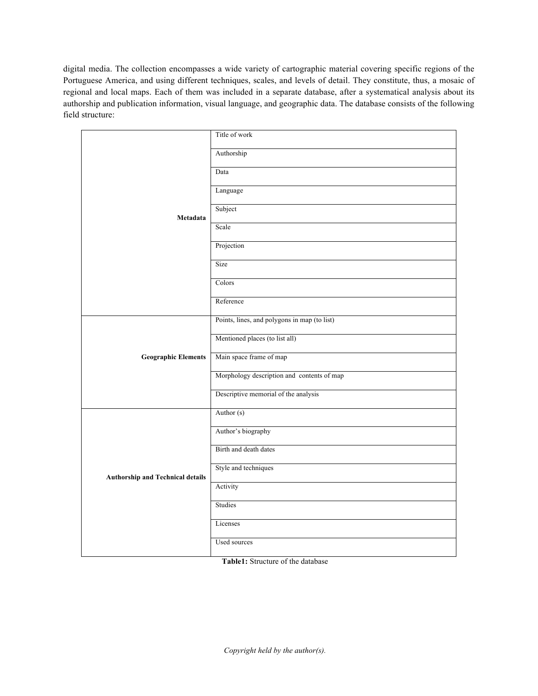digital media. The collection encompasses a wide variety of cartographic material covering specific regions of the Portuguese America, and using different techniques, scales, and levels of detail. They constitute, thus, a mosaic of regional and local maps. Each of them was included in a separate database, after a systematical analysis about its authorship and publication information, visual language, and geographic data. The database consists of the following field structure:

| Metadata                                | Title of work                                |
|-----------------------------------------|----------------------------------------------|
|                                         | Authorship                                   |
|                                         | Data                                         |
|                                         | Language                                     |
|                                         | Subject                                      |
|                                         | Scale                                        |
|                                         | Projection                                   |
|                                         | Size                                         |
|                                         | Colors                                       |
|                                         | Reference                                    |
| <b>Geographic Elements</b>              | Points, lines, and polygons in map (to list) |
|                                         | Mentioned places (to list all)               |
|                                         | Main space frame of map                      |
|                                         | Morphology description and contents of map   |
|                                         | Descriptive memorial of the analysis         |
| <b>Authorship and Technical details</b> | Author (s)                                   |
|                                         | Author's biography                           |
|                                         | Birth and death dates                        |
|                                         | Style and techniques                         |
|                                         | Activity                                     |
|                                         | Studies                                      |
|                                         | Licenses                                     |
|                                         | Used sources                                 |

**Table1:** Structure of the database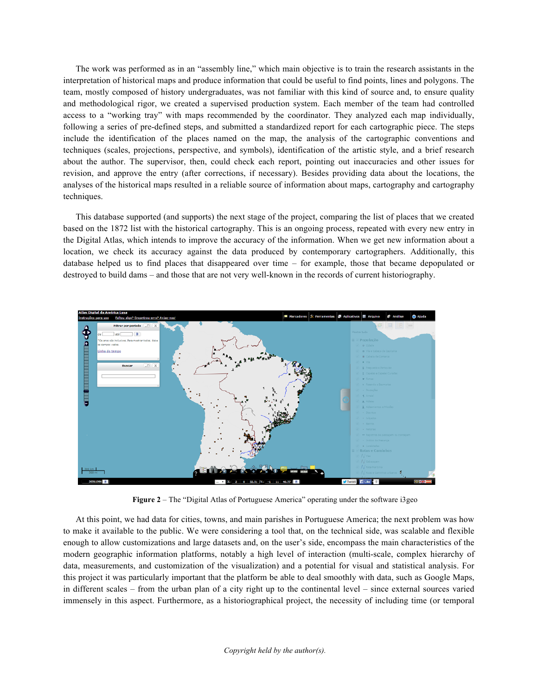The work was performed as in an "assembly line," which main objective is to train the research assistants in the interpretation of historical maps and produce information that could be useful to find points, lines and polygons. The team, mostly composed of history undergraduates, was not familiar with this kind of source and, to ensure quality and methodological rigor, we created a supervised production system. Each member of the team had controlled access to a "working tray" with maps recommended by the coordinator. They analyzed each map individually, following a series of pre-defined steps, and submitted a standardized report for each cartographic piece. The steps include the identification of the places named on the map, the analysis of the cartographic conventions and techniques (scales, projections, perspective, and symbols), identification of the artistic style, and a brief research about the author. The supervisor, then, could check each report, pointing out inaccuracies and other issues for revision, and approve the entry (after corrections, if necessary). Besides providing data about the locations, the analyses of the historical maps resulted in a reliable source of information about maps, cartography and cartography techniques.

This database supported (and supports) the next stage of the project, comparing the list of places that we created based on the 1872 list with the historical cartography. This is an ongoing process, repeated with every new entry in the Digital Atlas, which intends to improve the accuracy of the information. When we get new information about a location, we check its accuracy against the data produced by contemporary cartographers. Additionally, this database helped us to find places that disappeared over time – for example, those that became depopulated or destroyed to build dams – and those that are not very well-known in the records of current historiography.



**Figure 2** – The "Digital Atlas of Portuguese America" operating under the software i3geo

At this point, we had data for cities, towns, and main parishes in Portuguese America; the next problem was how to make it available to the public. We were considering a tool that, on the technical side, was scalable and flexible enough to allow customizations and large datasets and, on the user's side, encompass the main characteristics of the modern geographic information platforms, notably a high level of interaction (multi-scale, complex hierarchy of data, measurements, and customization of the visualization) and a potential for visual and statistical analysis. For this project it was particularly important that the platform be able to deal smoothly with data, such as Google Maps, in different scales – from the urban plan of a city right up to the continental level – since external sources varied immensely in this aspect. Furthermore, as a historiographical project, the necessity of including time (or temporal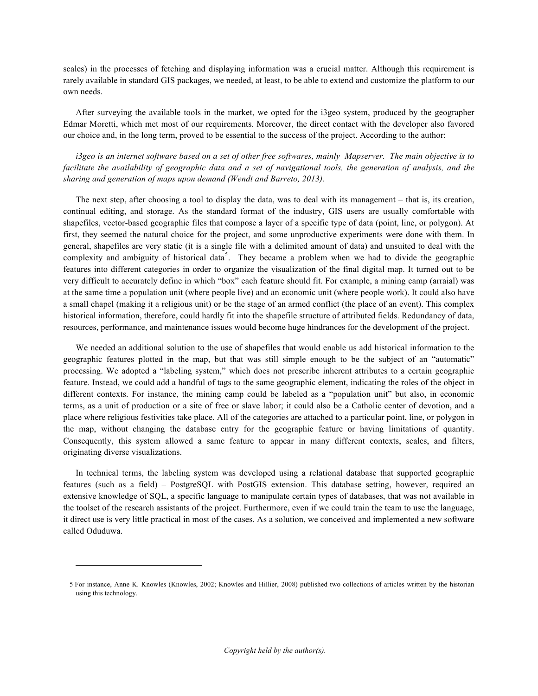scales) in the processes of fetching and displaying information was a crucial matter. Although this requirement is rarely available in standard GIS packages, we needed, at least, to be able to extend and customize the platform to our own needs.

After surveying the available tools in the market, we opted for the i3geo system, produced by the geographer Edmar Moretti, which met most of our requirements. Moreover, the direct contact with the developer also favored our choice and, in the long term, proved to be essential to the success of the project. According to the author:

*i3geo is an internet software based on a set of other free softwares, mainly Mapserver. The main objective is to*  facilitate the availability of geographic data and a set of navigational tools, the generation of analysis, and the *sharing and generation of maps upon demand (Wendt and Barreto, 2013).*

The next step, after choosing a tool to display the data, was to deal with its management – that is, its creation, continual editing, and storage. As the standard format of the industry, GIS users are usually comfortable with shapefiles, vector-based geographic files that compose a layer of a specific type of data (point, line, or polygon). At first, they seemed the natural choice for the project, and some unproductive experiments were done with them. In general, shapefiles are very static (it is a single file with a delimited amount of data) and unsuited to deal with the complexity and ambiguity of historical data<sup>5</sup>. They became a problem when we had to divide the geographic features into different categories in order to organize the visualization of the final digital map. It turned out to be very difficult to accurately define in which "box" each feature should fit. For example, a mining camp (arraial) was at the same time a population unit (where people live) and an economic unit (where people work). It could also have a small chapel (making it a religious unit) or be the stage of an armed conflict (the place of an event). This complex historical information, therefore, could hardly fit into the shapefile structure of attributed fields. Redundancy of data, resources, performance, and maintenance issues would become huge hindrances for the development of the project.

We needed an additional solution to the use of shapefiles that would enable us add historical information to the geographic features plotted in the map, but that was still simple enough to be the subject of an "automatic" processing. We adopted a "labeling system," which does not prescribe inherent attributes to a certain geographic feature. Instead, we could add a handful of tags to the same geographic element, indicating the roles of the object in different contexts. For instance, the mining camp could be labeled as a "population unit" but also, in economic terms, as a unit of production or a site of free or slave labor; it could also be a Catholic center of devotion, and a place where religious festivities take place. All of the categories are attached to a particular point, line, or polygon in the map, without changing the database entry for the geographic feature or having limitations of quantity. Consequently, this system allowed a same feature to appear in many different contexts, scales, and filters, originating diverse visualizations.

In technical terms, the labeling system was developed using a relational database that supported geographic features (such as a field) – PostgreSQL with PostGIS extension. This database setting, however, required an extensive knowledge of SQL, a specific language to manipulate certain types of databases, that was not available in the toolset of the research assistants of the project. Furthermore, even if we could train the team to use the language, it direct use is very little practical in most of the cases. As a solution, we conceived and implemented a new software called Oduduwa.

1

<sup>5</sup> For instance, Anne K. Knowles (Knowles, 2002; Knowles and Hillier, 2008) published two collections of articles written by the historian using this technology.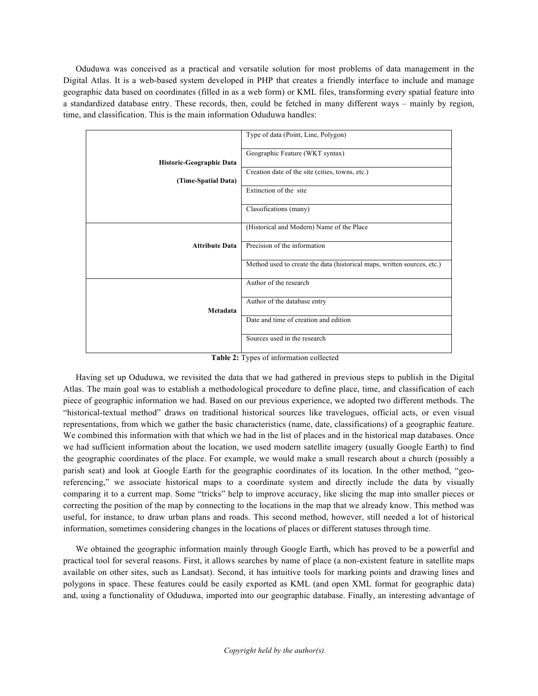Oduduwa was conceived as a practical and versatile solution for most problems of data management in the Digital Atlas. It is a web-based system developed in PHP that creates a friendly interface to include and manage geographic data based on coordinates (filled in as a web form) or KML files, transforming every spatial feature into a standardized database entry. These records, then, could be fetched in many different ways – mainly by region, time, and classification. This is the main information Oduduwa handles:

|                          | Type of data (Point, Line, Polygon)                                     |
|--------------------------|-------------------------------------------------------------------------|
| Historic-Geographic Data | Geographic Feature (WKT syntax)                                         |
|                          |                                                                         |
|                          | Creation date of the site (cities, towns, etc.)                         |
| (Time-Spatial Data)      |                                                                         |
|                          | Extinction of the site                                                  |
|                          | Classifications (many)                                                  |
|                          |                                                                         |
|                          | (Historical and Modern) Name of the Place                               |
|                          |                                                                         |
| <b>Attribute Data</b>    | Precision of the information                                            |
|                          |                                                                         |
|                          | Method used to create the data (historical maps, written sources, etc.) |
|                          |                                                                         |
|                          | Author of the research                                                  |
|                          |                                                                         |
|                          | Author of the database entry                                            |
| Metadata                 |                                                                         |
|                          | Date and time of creation and edition                                   |
|                          |                                                                         |
|                          | Sources used in the research                                            |
|                          |                                                                         |

**Table 2:** Types of information collected

Having set up Oduduwa, we revisited the data that we had gathered in previous steps to publish in the Digital Atlas. The main goal was to establish a methodological procedure to define place, time, and classification of each piece of geographic information we had. Based on our previous experience, we adopted two different methods. The "historical-textual method" draws on traditional historical sources like travelogues, official acts, or even visual representations, from which we gather the basic characteristics (name, date, classifications) of a geographic feature. We combined this information with that which we had in the list of places and in the historical map databases. Once we had sufficient information about the location, we used modern satellite imagery (usually Google Earth) to find the geographic coordinates of the place. For example, we would make a small research about a church (possibly a parish seat) and look at Google Earth for the geographic coordinates of its location. In the other method, "georeferencing," we associate historical maps to a coordinate system and directly include the data by visually comparing it to a current map. Some "tricks" help to improve accuracy, like slicing the map into smaller pieces or correcting the position of the map by connecting to the locations in the map that we already know. This method was useful, for instance, to draw urban plans and roads. This second method, however, still needed a lot of historical information, sometimes considering changes in the locations of places or different statuses through time.

We obtained the geographic information mainly through Google Earth, which has proved to be a powerful and practical tool for several reasons. First, it allows searches by name of place (a non-existent feature in satellite maps available on other sites, such as Landsat). Second, it has intuitive tools for marking points and drawing lines and polygons in space. These features could be easily exported as KML (and open XML format for geographic data) and, using a functionality of Oduduwa, imported into our geographic database. Finally, an interesting advantage of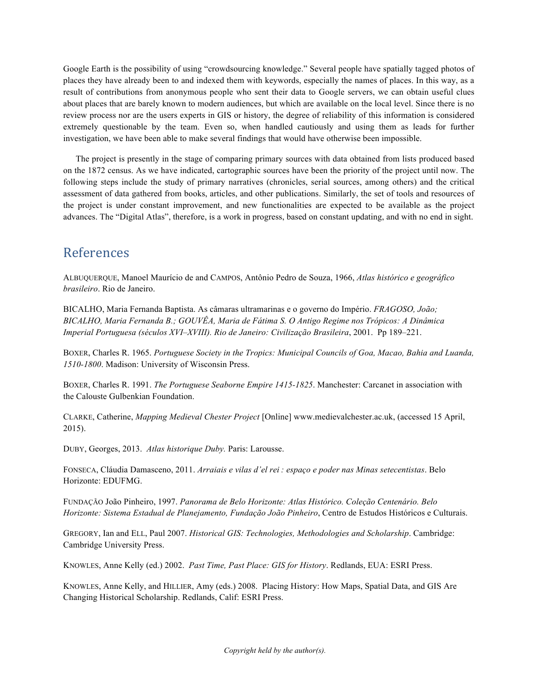Google Earth is the possibility of using "crowdsourcing knowledge." Several people have spatially tagged photos of places they have already been to and indexed them with keywords, especially the names of places. In this way, as a result of contributions from anonymous people who sent their data to Google servers, we can obtain useful clues about places that are barely known to modern audiences, but which are available on the local level. Since there is no review process nor are the users experts in GIS or history, the degree of reliability of this information is considered extremely questionable by the team. Even so, when handled cautiously and using them as leads for further investigation, we have been able to make several findings that would have otherwise been impossible.

The project is presently in the stage of comparing primary sources with data obtained from lists produced based on the 1872 census. As we have indicated, cartographic sources have been the priority of the project until now. The following steps include the study of primary narratives (chronicles, serial sources, among others) and the critical assessment of data gathered from books, articles, and other publications. Similarly, the set of tools and resources of the project is under constant improvement, and new functionalities are expected to be available as the project advances. The "Digital Atlas", therefore, is a work in progress, based on constant updating, and with no end in sight.

#### References

ALBUQUERQUE, Manoel Maurício de and CAMPOS, Antônio Pedro de Souza, 1966, *Atlas histórico e geográfico brasileiro*. Rio de Janeiro.

BICALHO, Maria Fernanda Baptista. As câmaras ultramarinas e o governo do Império. *FRAGOSO, João; BICALHO, Maria Fernanda B.; GOUVÊA, Maria de Fátima S. O Antigo Regime nos Trópicos: A Dinâmica Imperial Portuguesa (séculos XVI–XVIII). Rio de Janeiro: Civilização Brasileira*, 2001. Pp 189–221.

BOXER, Charles R. 1965. *Portuguese Society in the Tropics: Municipal Councils of Goa, Macao, Bahia and Luanda, 1510-1800*. Madison: University of Wisconsin Press.

BOXER, Charles R. 1991. *The Portuguese Seaborne Empire 1415-1825*. Manchester: Carcanet in association with the Calouste Gulbenkian Foundation.

CLARKE, Catherine, *Mapping Medieval Chester Project* [Online] www.medievalchester.ac.uk, (accessed 15 April, 2015).

DUBY, Georges, 2013. *Atlas historique Duby.* Paris: Larousse.

FONSECA, Cláudia Damasceno, 2011. *Arraiais e vilas d'el rei : espaço e poder nas Minas setecentistas*. Belo Horizonte: EDUFMG.

FUNDAÇÃO João Pinheiro, 1997. *Panorama de Belo Horizonte: Atlas Histórico. Coleção Centenário. Belo Horizonte: Sistema Estadual de Planejamento, Fundação João Pinheiro*, Centro de Estudos Históricos e Culturais.

GREGORY, Ian and ELL, Paul 2007. *Historical GIS: Technologies, Methodologies and Scholarship*. Cambridge: Cambridge University Press.

KNOWLES, Anne Kelly (ed.) 2002. *Past Time, Past Place: GIS for History*. Redlands, EUA: ESRI Press.

KNOWLES, Anne Kelly, and HILLIER, Amy (eds.) 2008. Placing History: How Maps, Spatial Data, and GIS Are Changing Historical Scholarship. Redlands, Calif: ESRI Press.